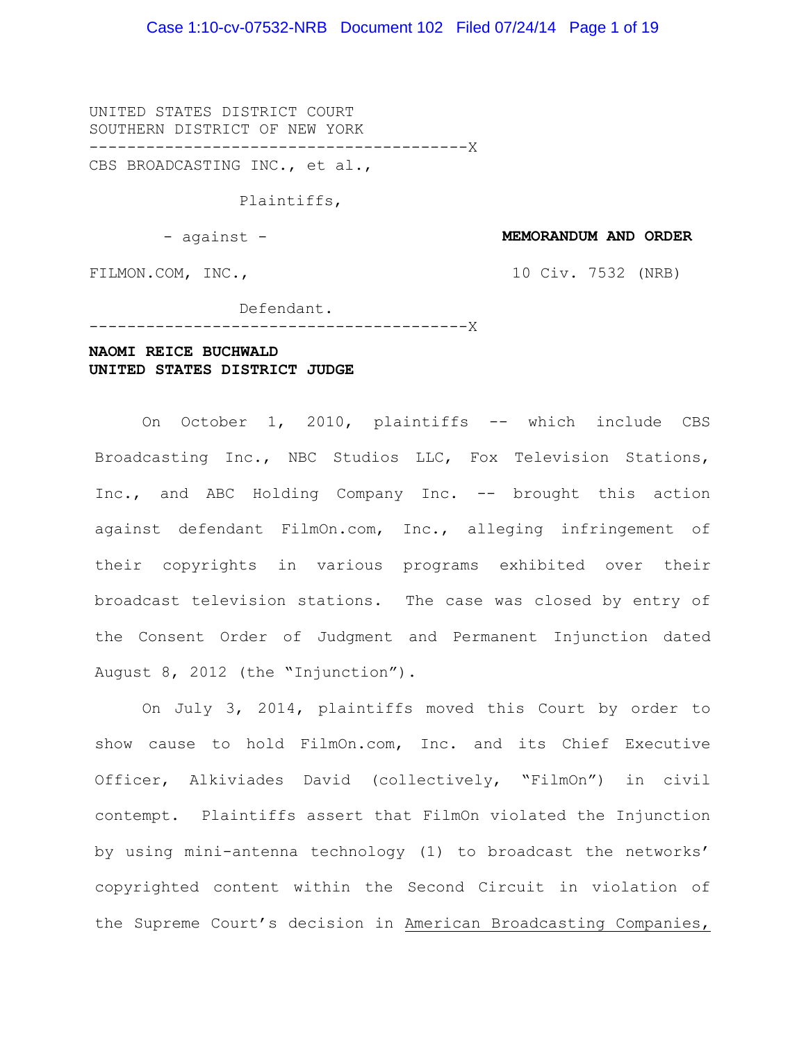#### Case 1:10-cv-07532-NRB Document 102 Filed 07/24/14 Page 1 of 19

UNITED STATES DISTRICT COURT SOUTHERN DISTRICT OF NEW YORK ----------------------------------------X

CBS BROADCASTING INC., et al.,

Plaintiffs,

- against -

**MEMORANDUM AND ORDER**

FILMON.COM, INC.,

10 Civ. 7532 (NRB)

#### Defendant.

 $- - - - - - - - -$ 

### **NAOMI REICE BUCHWALD UNITED STATES DISTRICT JUDGE**

On October 1, 2010, plaintiffs -- which include CBS Broadcasting Inc., NBC Studios LLC, Fox Television Stations, Inc., and ABC Holding Company Inc. -- brought this action against defendant FilmOn.com, Inc., alleging infringement of their copyrights in various programs exhibited over their broadcast television stations. The case was closed by entry of the Consent Order of Judgment and Permanent Injunction dated August 8, 2012 (the "Injunction").

On July 3, 2014, plaintiffs moved this Court by order to show cause to hold FilmOn.com, Inc. and its Chief Executive Officer, Alkiviades David (collectively, "FilmOn") in civil contempt. Plaintiffs assert that FilmOn violated the Injunction by using mini-antenna technology (1) to broadcast the networks' copyrighted content within the Second Circuit in violation of the Supreme Court's decision in American Broadcasting Companies,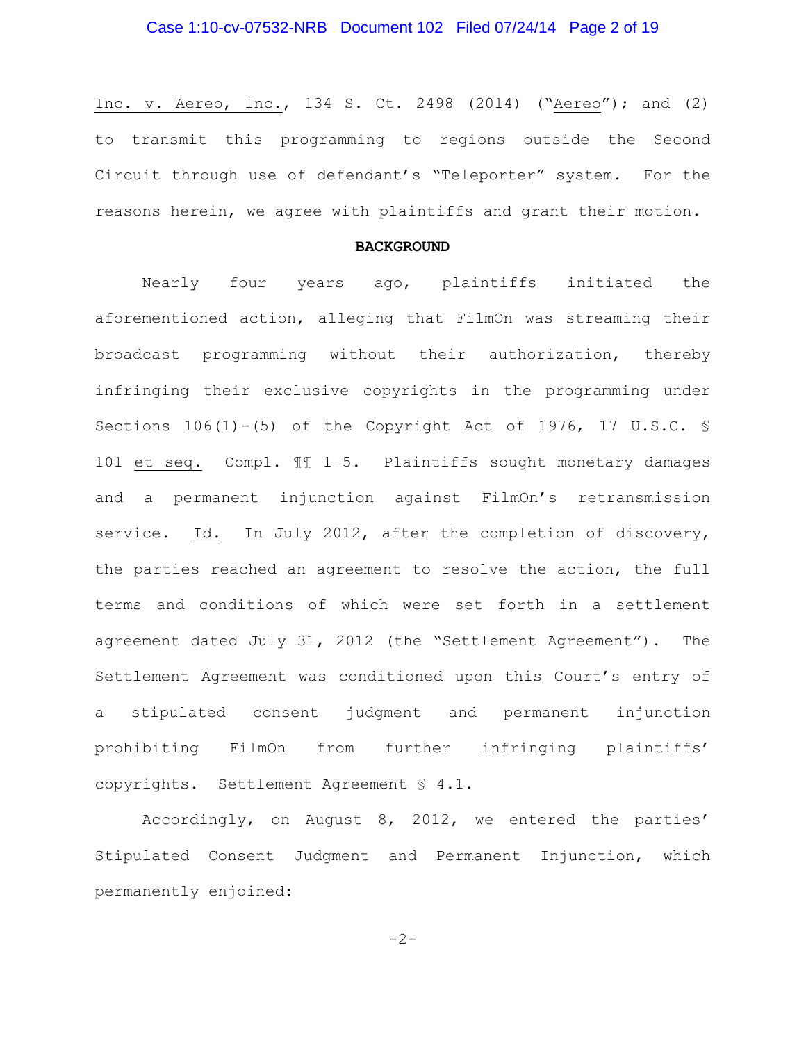# Case 1:10-cv-07532-NRB Document 102 Filed 07/24/14 Page 2 of 19

Inc. v. Aereo, Inc., 134 S. Ct. 2498 (2014) ("Aereo"); and (2) to transmit this programming to regions outside the Second Circuit through use of defendant's "Teleporter" system. For the reasons herein, we agree with plaintiffs and grant their motion.

#### **BACKGROUND**

Nearly four years ago, plaintiffs initiated the aforementioned action, alleging that FilmOn was streaming their broadcast programming without their authorization, thereby infringing their exclusive copyrights in the programming under Sections 106(1)-(5) of the Copyright Act of 1976, 17 U.S.C. § 101 et seq. Compl. ¶¶ 1–5. Plaintiffs sought monetary damages and a permanent injunction against FilmOn's retransmission service. Id. In July 2012, after the completion of discovery, the parties reached an agreement to resolve the action, the full terms and conditions of which were set forth in a settlement agreement dated July 31, 2012 (the "Settlement Agreement"). The Settlement Agreement was conditioned upon this Court's entry of a stipulated consent judgment and permanent injunction prohibiting FilmOn from further infringing plaintiffs' copyrights. Settlement Agreement § 4.1.

Accordingly, on August 8, 2012, we entered the parties' Stipulated Consent Judgment and Permanent Injunction, which permanently enjoined:

$$
-2\,-
$$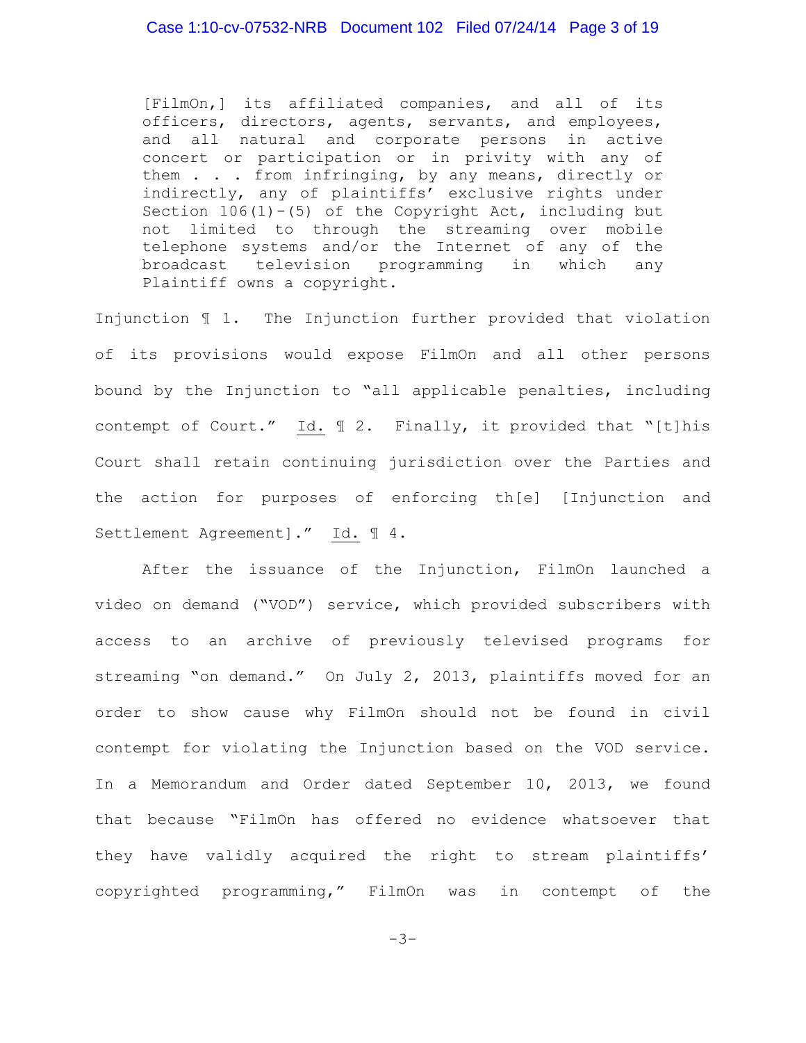### Case 1:10-cv-07532-NRB Document 102 Filed 07/24/14 Page 3 of 19

[FilmOn,] its affiliated companies, and all of its officers, directors, agents, servants, and employees, and all natural and corporate persons in active concert or participation or in privity with any of them . . . from infringing, by any means, directly or indirectly, any of plaintiffs' exclusive rights under Section  $106(1)-(5)$  of the Copyright Act, including but not limited to through the streaming over mobile telephone systems and/or the Internet of any of the broadcast television programming in which any Plaintiff owns a copyright.

Injunction ¶ 1. The Injunction further provided that violation of its provisions would expose FilmOn and all other persons bound by the Injunction to "all applicable penalties, including contempt of Court." Id. ¶ 2. Finally, it provided that "[t]his Court shall retain continuing jurisdiction over the Parties and the action for purposes of enforcing th[e] [Injunction and Settlement Agreement]." Id. ¶ 4.

After the issuance of the Injunction, FilmOn launched a video on demand ("VOD") service, which provided subscribers with access to an archive of previously televised programs for streaming "on demand." On July 2, 2013, plaintiffs moved for an order to show cause why FilmOn should not be found in civil contempt for violating the Injunction based on the VOD service. In a Memorandum and Order dated September 10, 2013, we found that because "FilmOn has offered no evidence whatsoever that they have validly acquired the right to stream plaintiffs' copyrighted programming," FilmOn was in contempt of the

-3-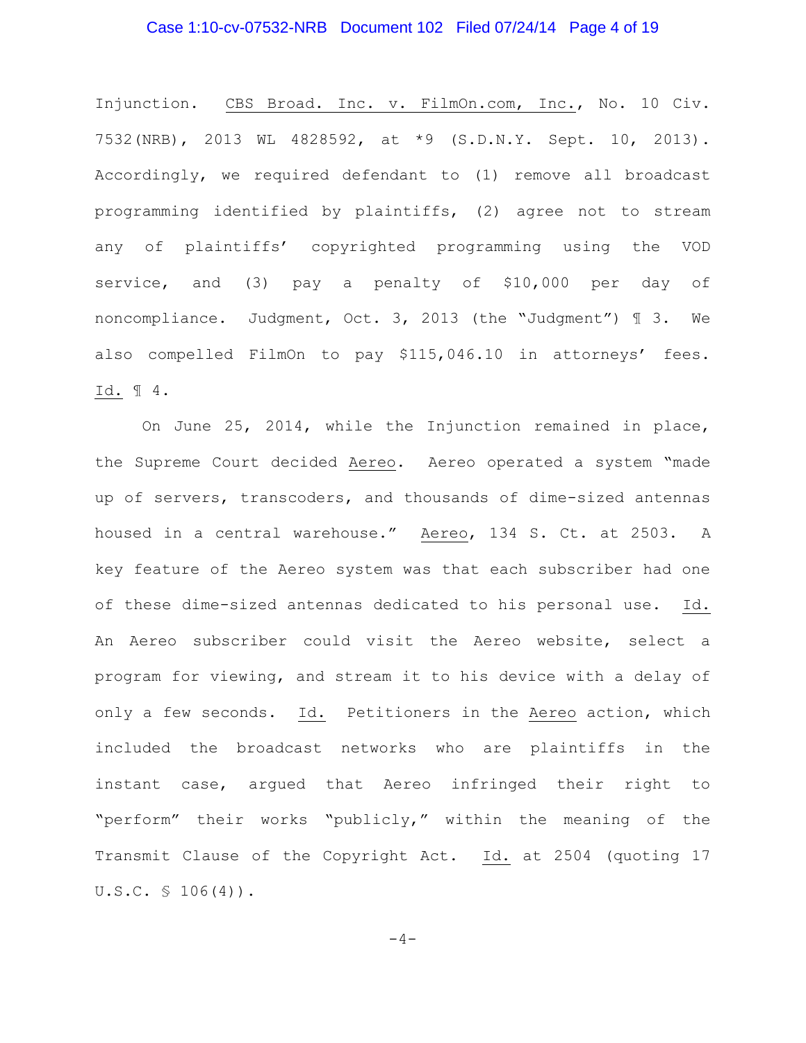#### Case 1:10-cv-07532-NRB Document 102 Filed 07/24/14 Page 4 of 19

Injunction. CBS Broad. Inc. v. FilmOn.com, Inc., No. 10 Civ. 7532(NRB), 2013 WL 4828592, at \*9 (S.D.N.Y. Sept. 10, 2013). Accordingly, we required defendant to (1) remove all broadcast programming identified by plaintiffs, (2) agree not to stream any of plaintiffs' copyrighted programming using the VOD service, and (3) pay a penalty of \$10,000 per day of noncompliance. Judgment, Oct. 3, 2013 (the "Judgment") ¶ 3. We also compelled FilmOn to pay \$115,046.10 in attorneys' fees. Id. ¶ 4.

On June 25, 2014, while the Injunction remained in place, the Supreme Court decided Aereo. Aereo operated a system "made up of servers, transcoders, and thousands of dime-sized antennas housed in a central warehouse." Aereo, 134 S. Ct. at 2503. A key feature of the Aereo system was that each subscriber had one of these dime-sized antennas dedicated to his personal use. Id. An Aereo subscriber could visit the Aereo website, select a program for viewing, and stream it to his device with a delay of only a few seconds. Id. Petitioners in the Aereo action, which included the broadcast networks who are plaintiffs in the instant case, argued that Aereo infringed their right to "perform" their works "publicly," within the meaning of the Transmit Clause of the Copyright Act. Id. at 2504 (quoting 17 U.S.C. § 106(4)).

 $-4-$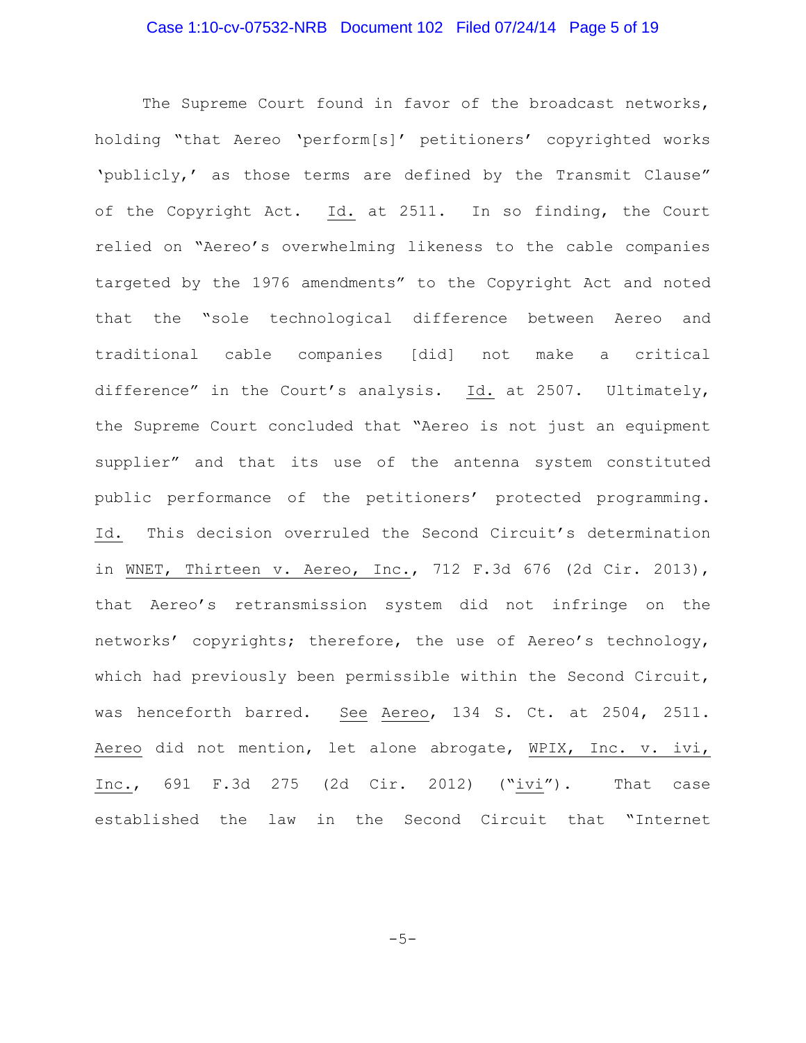# Case 1:10-cv-07532-NRB Document 102 Filed 07/24/14 Page 5 of 19

The Supreme Court found in favor of the broadcast networks, holding "that Aereo 'perform[s]' petitioners' copyrighted works 'publicly,' as those terms are defined by the Transmit Clause" of the Copyright Act. Id. at 2511. In so finding, the Court relied on "Aereo's overwhelming likeness to the cable companies targeted by the 1976 amendments" to the Copyright Act and noted that the "sole technological difference between Aereo and traditional cable companies [did] not make a critical difference" in the Court's analysis. Id. at 2507. Ultimately, the Supreme Court concluded that "Aereo is not just an equipment supplier" and that its use of the antenna system constituted public performance of the petitioners' protected programming. Id. This decision overruled the Second Circuit's determination in WNET, Thirteen v. Aereo, Inc., 712 F.3d 676 (2d Cir. 2013), that Aereo's retransmission system did not infringe on the networks' copyrights; therefore, the use of Aereo's technology, which had previously been permissible within the Second Circuit, was henceforth barred. See Aereo, 134 S. Ct. at 2504, 2511. Aereo did not mention, let alone abrogate, WPIX, Inc. v. ivi, Inc., 691 F.3d 275 (2d Cir. 2012) ("ivi"). That case established the law in the Second Circuit that "Internet

-5-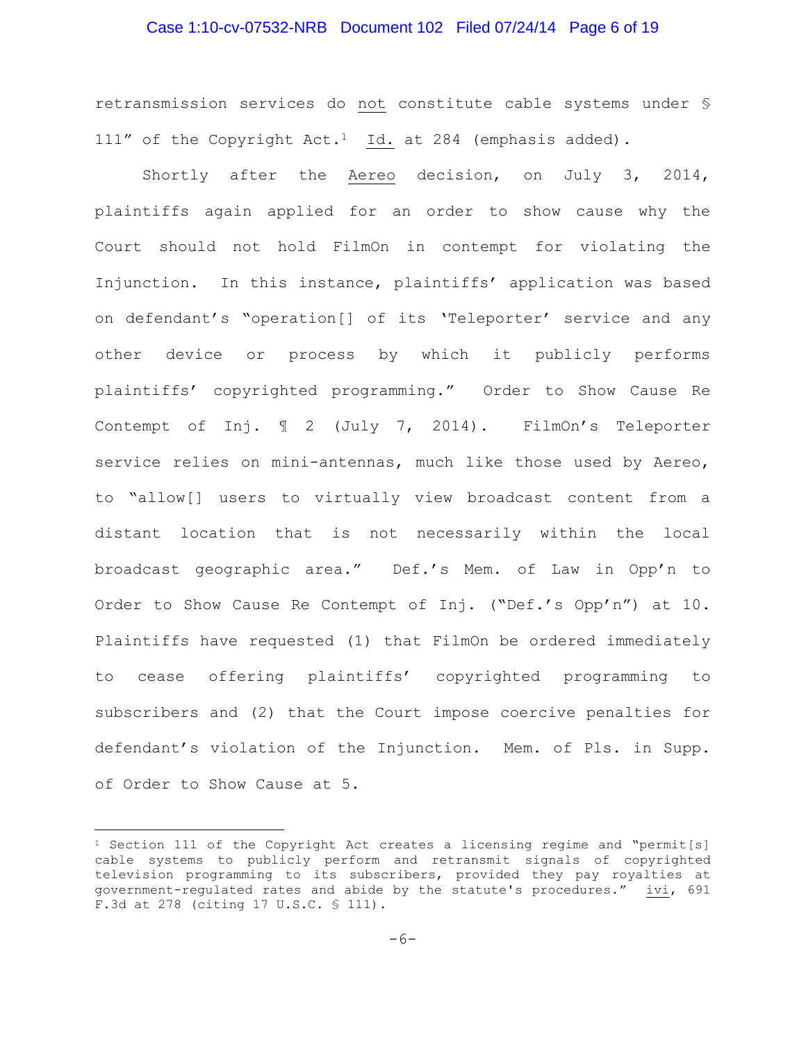#### Case 1:10-cv-07532-NRB Document 102 Filed 07/24/14 Page 6 of 19

retransmission services do not constitute cable systems under § 111" of the Copyright Act.<sup>1</sup> Id. at 284 (emphasis added).

Shortly after the Aereo decision, on July 3, 2014, plaintiffs again applied for an order to show cause why the Court should not hold FilmOn in contempt for violating the Injunction. In this instance, plaintiffs' application was based on defendant's "operation[] of its 'Teleporter' service and any other device or process by which it publicly performs plaintiffs' copyrighted programming." Order to Show Cause Re Contempt of Inj. ¶ 2 (July 7, 2014). FilmOn's Teleporter service relies on mini-antennas, much like those used by Aereo, to "allow[] users to virtually view broadcast content from a distant location that is not necessarily within the local broadcast geographic area." Def.'s Mem. of Law in Opp'n to Order to Show Cause Re Contempt of Inj. ("Def.'s Opp'n") at 10. Plaintiffs have requested (1) that FilmOn be ordered immediately to cease offering plaintiffs' copyrighted programming to subscribers and (2) that the Court impose coercive penalties for defendant's violation of the Injunction. Mem. of Pls. in Supp. of Order to Show Cause at 5.

 $\overline{a}$ 

<sup>&</sup>lt;sup>1</sup> Section 111 of the Copyright Act creates a licensing regime and "permit[s] cable systems to publicly perform and retransmit signals of copyrighted television programming to its subscribers, provided they pay royalties at government-regulated rates and abide by the statute's procedures." ivi, 691 F.3d at 278 (citing 17 U.S.C. § 111).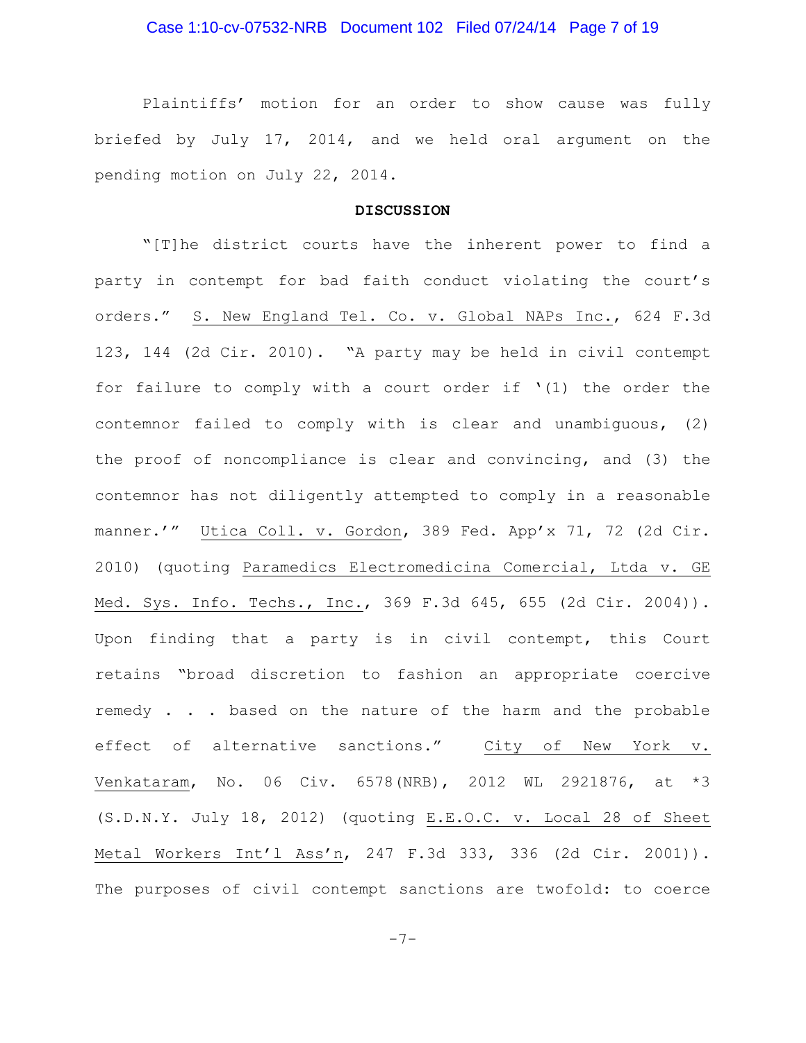# Case 1:10-cv-07532-NRB Document 102 Filed 07/24/14 Page 7 of 19

Plaintiffs' motion for an order to show cause was fully briefed by July 17, 2014, and we held oral argument on the pending motion on July 22, 2014.

#### **DISCUSSION**

"[T]he district courts have the inherent power to find a party in contempt for bad faith conduct violating the court's orders." S. New England Tel. Co. v. Global NAPs Inc., 624 F.3d 123, 144 (2d Cir. 2010). "A party may be held in civil contempt for failure to comply with a court order if  $'(1)$  the order the contemnor failed to comply with is clear and unambiguous, (2) the proof of noncompliance is clear and convincing, and (3) the contemnor has not diligently attempted to comply in a reasonable manner.'" Utica Coll. v. Gordon, 389 Fed. App'x 71, 72 (2d Cir. 2010) (quoting Paramedics Electromedicina Comercial, Ltda v. GE Med. Sys. Info. Techs., Inc., 369 F.3d 645, 655 (2d Cir. 2004)). Upon finding that a party is in civil contempt, this Court retains "broad discretion to fashion an appropriate coercive remedy . . . based on the nature of the harm and the probable effect of alternative sanctions." City of New York v. Venkataram, No. 06 Civ. 6578(NRB), 2012 WL 2921876, at \*3 (S.D.N.Y. July 18, 2012) (quoting E.E.O.C. v. Local 28 of Sheet Metal Workers Int'l Ass'n, 247 F.3d 333, 336 (2d Cir. 2001)). The purposes of civil contempt sanctions are twofold: to coerce

-7-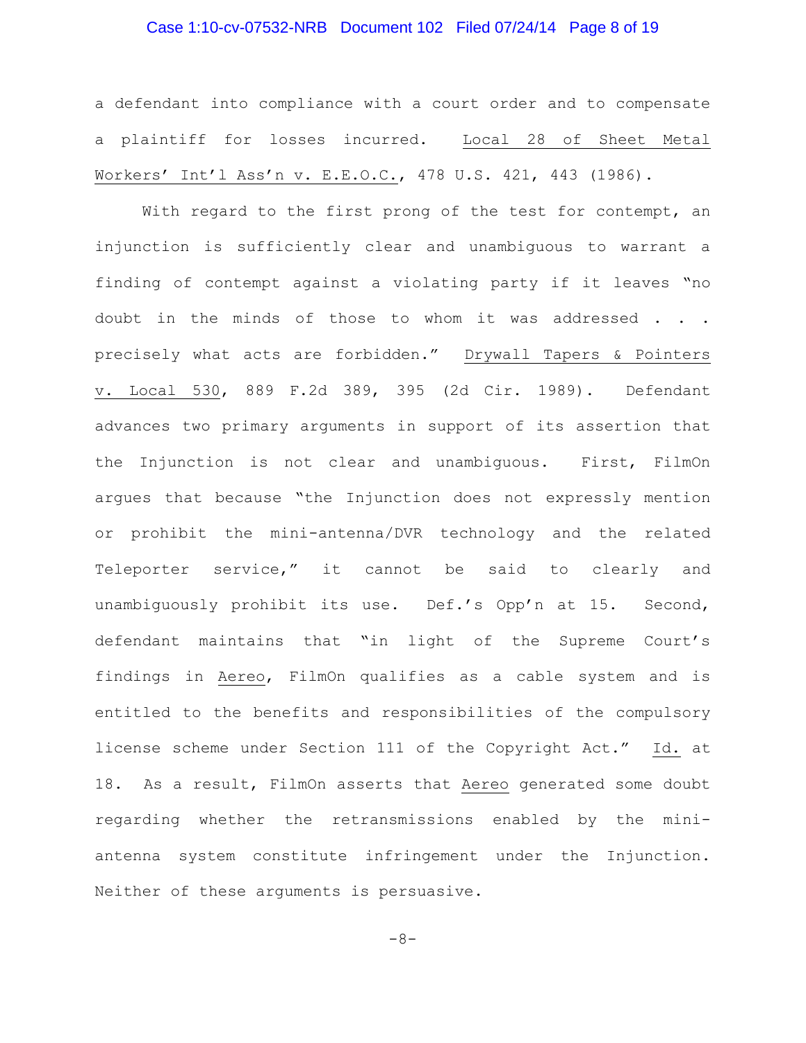#### Case 1:10-cv-07532-NRB Document 102 Filed 07/24/14 Page 8 of 19

a defendant into compliance with a court order and to compensate a plaintiff for losses incurred. Local 28 of Sheet Metal Workers' Int'l Ass'n v. E.E.O.C., 478 U.S. 421, 443 (1986).

With regard to the first prong of the test for contempt, an injunction is sufficiently clear and unambiguous to warrant a finding of contempt against a violating party if it leaves "no doubt in the minds of those to whom it was addressed . . . precisely what acts are forbidden." Drywall Tapers & Pointers v. Local 530, 889 F.2d 389, 395 (2d Cir. 1989). Defendant advances two primary arguments in support of its assertion that the Injunction is not clear and unambiguous. First, FilmOn argues that because "the Injunction does not expressly mention or prohibit the mini-antenna/DVR technology and the related Teleporter service," it cannot be said to clearly and unambiguously prohibit its use. Def.'s Opp'n at 15. Second, defendant maintains that "in light of the Supreme Court's findings in Aereo, FilmOn qualifies as a cable system and is entitled to the benefits and responsibilities of the compulsory license scheme under Section 111 of the Copyright Act." Id. at 18. As a result, FilmOn asserts that Aereo generated some doubt regarding whether the retransmissions enabled by the miniantenna system constitute infringement under the Injunction. Neither of these arguments is persuasive.

-8-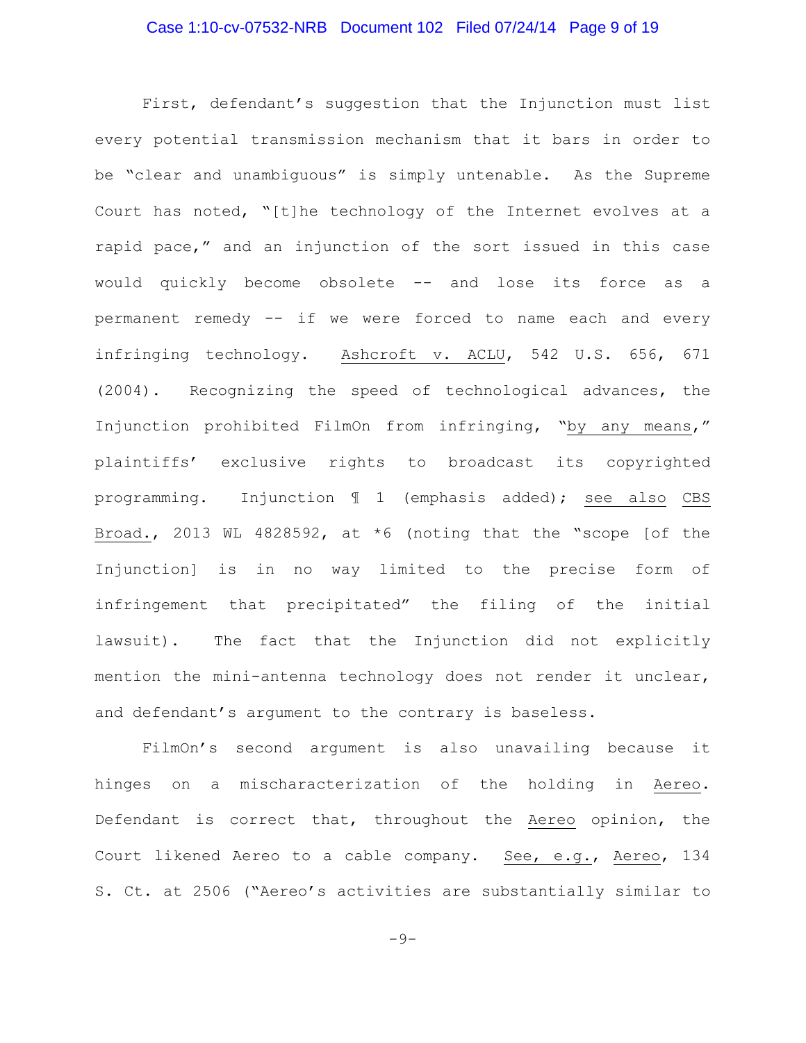# Case 1:10-cv-07532-NRB Document 102 Filed 07/24/14 Page 9 of 19

First, defendant's suggestion that the Injunction must list every potential transmission mechanism that it bars in order to be "clear and unambiguous" is simply untenable. As the Supreme Court has noted, "[t]he technology of the Internet evolves at a rapid pace," and an injunction of the sort issued in this case would quickly become obsolete -- and lose its force as a permanent remedy -- if we were forced to name each and every infringing technology. Ashcroft v. ACLU, 542 U.S. 656, 671 (2004). Recognizing the speed of technological advances, the Injunction prohibited FilmOn from infringing, "by any means," plaintiffs' exclusive rights to broadcast its copyrighted programming. Injunction ¶ 1 (emphasis added); see also CBS Broad., 2013 WL 4828592, at \*6 (noting that the "scope [of the Injunction] is in no way limited to the precise form of infringement that precipitated" the filing of the initial lawsuit). The fact that the Injunction did not explicitly mention the mini-antenna technology does not render it unclear, and defendant's argument to the contrary is baseless.

FilmOn's second argument is also unavailing because it hinges on a mischaracterization of the holding in Aereo. Defendant is correct that, throughout the Aereo opinion, the Court likened Aereo to a cable company. See, e.g., Aereo, 134 S. Ct. at 2506 ("Aereo's activities are substantially similar to

 $-9-$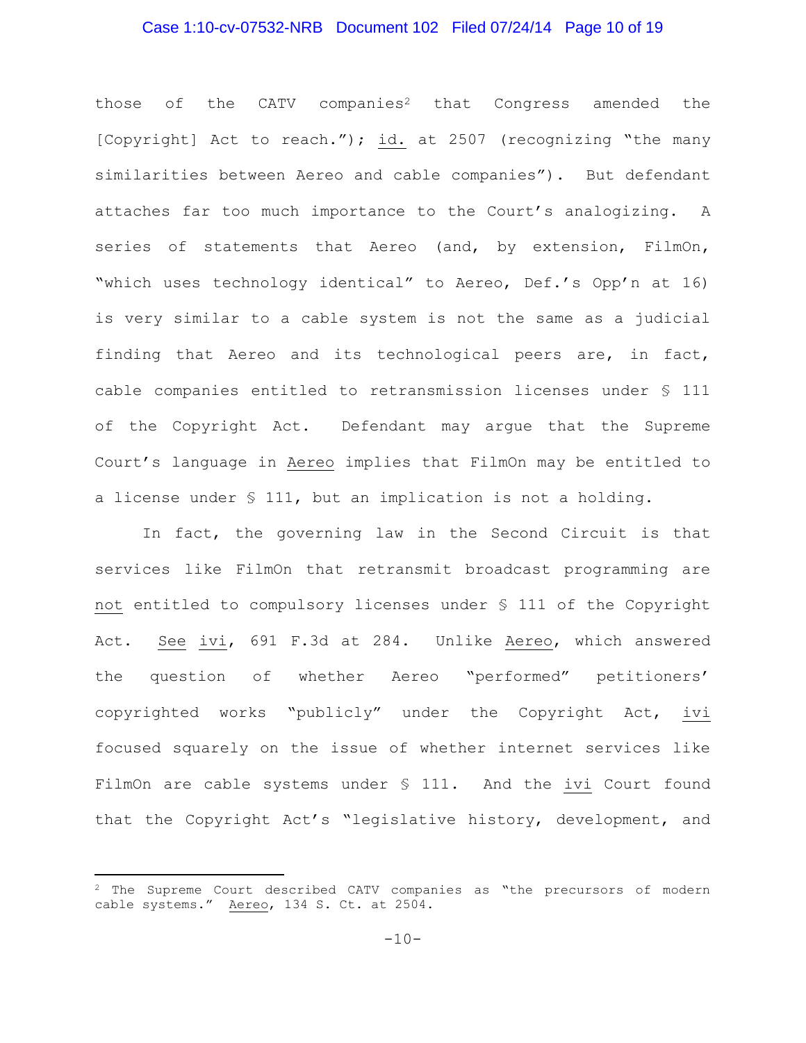#### Case 1:10-cv-07532-NRB Document 102 Filed 07/24/14 Page 10 of 19

those of the  $CATV$  companies<sup>2</sup> that Congress amended the [Copyright] Act to reach."); id. at 2507 (recognizing "the many similarities between Aereo and cable companies"). But defendant attaches far too much importance to the Court's analogizing. A series of statements that Aereo (and, by extension, FilmOn, "which uses technology identical" to Aereo, Def.'s Opp'n at 16) is very similar to a cable system is not the same as a judicial finding that Aereo and its technological peers are, in fact, cable companies entitled to retransmission licenses under § 111 of the Copyright Act. Defendant may argue that the Supreme Court's language in Aereo implies that FilmOn may be entitled to a license under § 111, but an implication is not a holding.

In fact, the governing law in the Second Circuit is that services like FilmOn that retransmit broadcast programming are not entitled to compulsory licenses under § 111 of the Copyright Act. See ivi, 691 F.3d at 284. Unlike Aereo, which answered the question of whether Aereo "performed" petitioners' copyrighted works "publicly" under the Copyright Act, ivi focused squarely on the issue of whether internet services like FilmOn are cable systems under § 111. And the ivi Court found that the Copyright Act's "legislative history, development, and

 $\overline{a}$ 

<sup>&</sup>lt;sup>2</sup> The Supreme Court described CATV companies as "the precursors of modern cable systems." Aereo, 134 S. Ct. at 2504.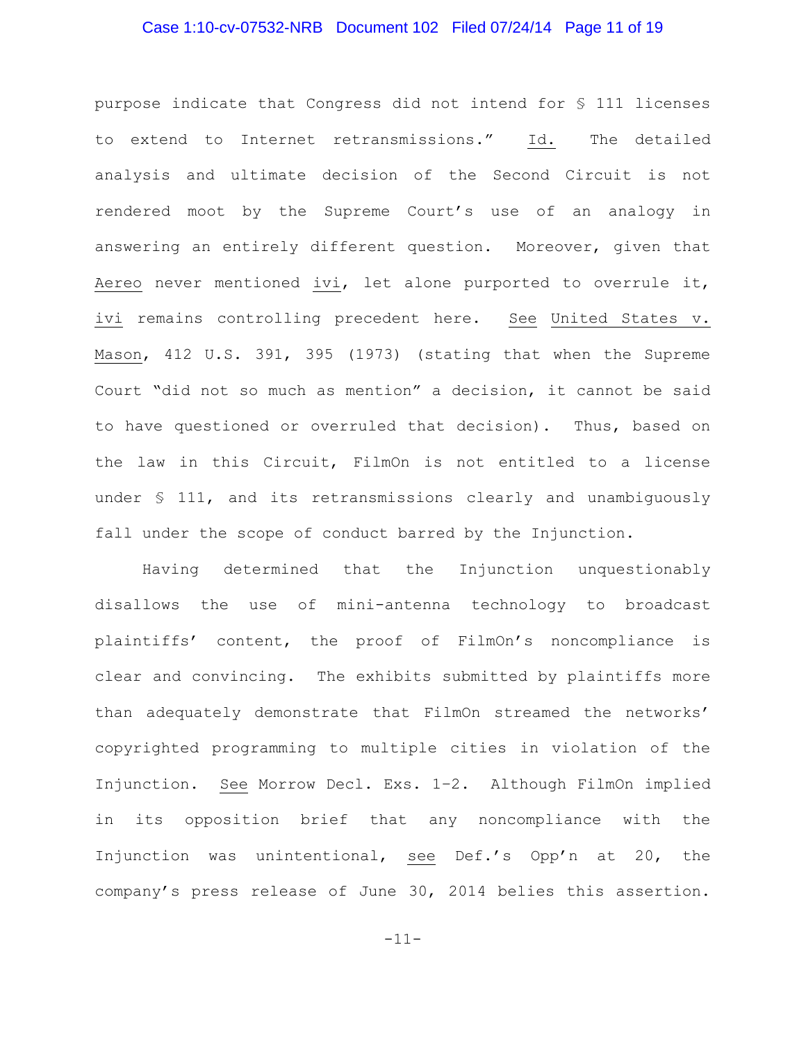#### Case 1:10-cv-07532-NRB Document 102 Filed 07/24/14 Page 11 of 19

purpose indicate that Congress did not intend for § 111 licenses to extend to Internet retransmissions." Id. The detailed analysis and ultimate decision of the Second Circuit is not rendered moot by the Supreme Court's use of an analogy in answering an entirely different question. Moreover, given that Aereo never mentioned ivi, let alone purported to overrule it, ivi remains controlling precedent here. See United States v. Mason, 412 U.S. 391, 395 (1973) (stating that when the Supreme Court "did not so much as mention" a decision, it cannot be said to have questioned or overruled that decision). Thus, based on the law in this Circuit, FilmOn is not entitled to a license under § 111, and its retransmissions clearly and unambiguously fall under the scope of conduct barred by the Injunction.

Having determined that the Injunction unquestionably disallows the use of mini-antenna technology to broadcast plaintiffs' content, the proof of FilmOn's noncompliance is clear and convincing. The exhibits submitted by plaintiffs more than adequately demonstrate that FilmOn streamed the networks' copyrighted programming to multiple cities in violation of the Injunction. See Morrow Decl. Exs. 1–2. Although FilmOn implied in its opposition brief that any noncompliance with the Injunction was unintentional, see Def.'s Opp'n at 20, the company's press release of June 30, 2014 belies this assertion.

-11-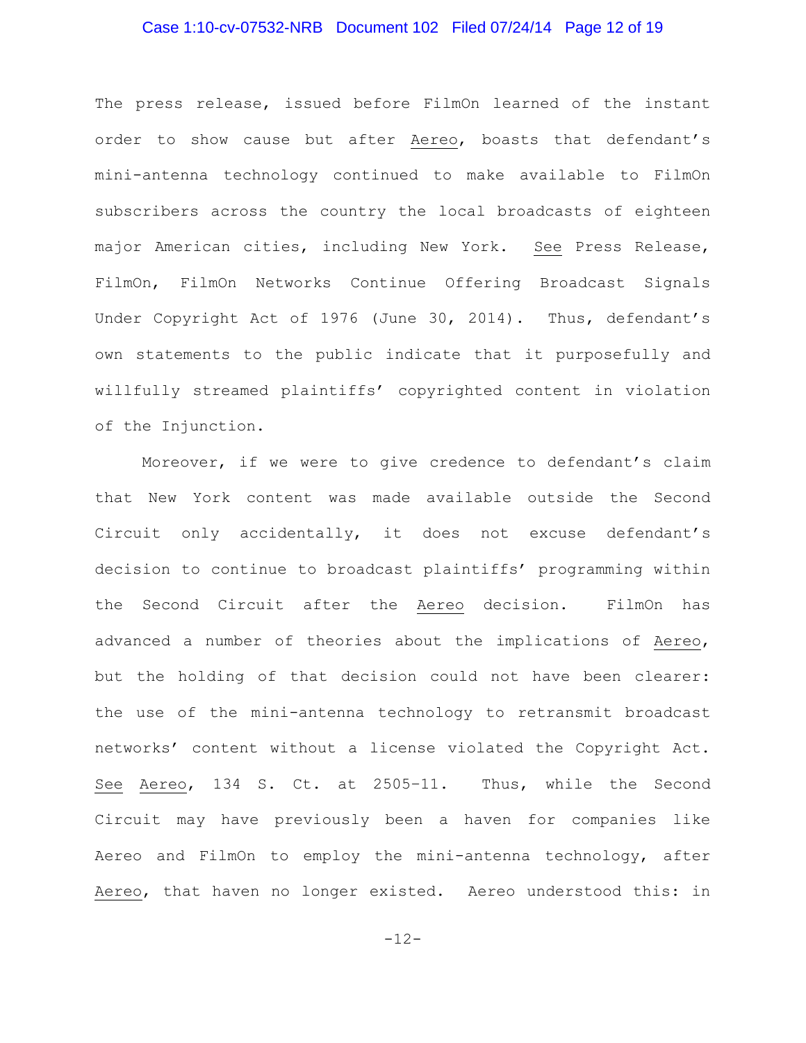#### Case 1:10-cv-07532-NRB Document 102 Filed 07/24/14 Page 12 of 19

The press release, issued before FilmOn learned of the instant order to show cause but after Aereo, boasts that defendant's mini-antenna technology continued to make available to FilmOn subscribers across the country the local broadcasts of eighteen major American cities, including New York. See Press Release, FilmOn, FilmOn Networks Continue Offering Broadcast Signals Under Copyright Act of 1976 (June 30, 2014). Thus, defendant's own statements to the public indicate that it purposefully and willfully streamed plaintiffs' copyrighted content in violation of the Injunction.

Moreover, if we were to give credence to defendant's claim that New York content was made available outside the Second Circuit only accidentally, it does not excuse defendant's decision to continue to broadcast plaintiffs' programming within the Second Circuit after the Aereo decision. FilmOn has advanced a number of theories about the implications of Aereo, but the holding of that decision could not have been clearer: the use of the mini-antenna technology to retransmit broadcast networks' content without a license violated the Copyright Act. See Aereo, 134 S. Ct. at 2505–11. Thus, while the Second Circuit may have previously been a haven for companies like Aereo and FilmOn to employ the mini-antenna technology, after Aereo, that haven no longer existed. Aereo understood this: in

-12-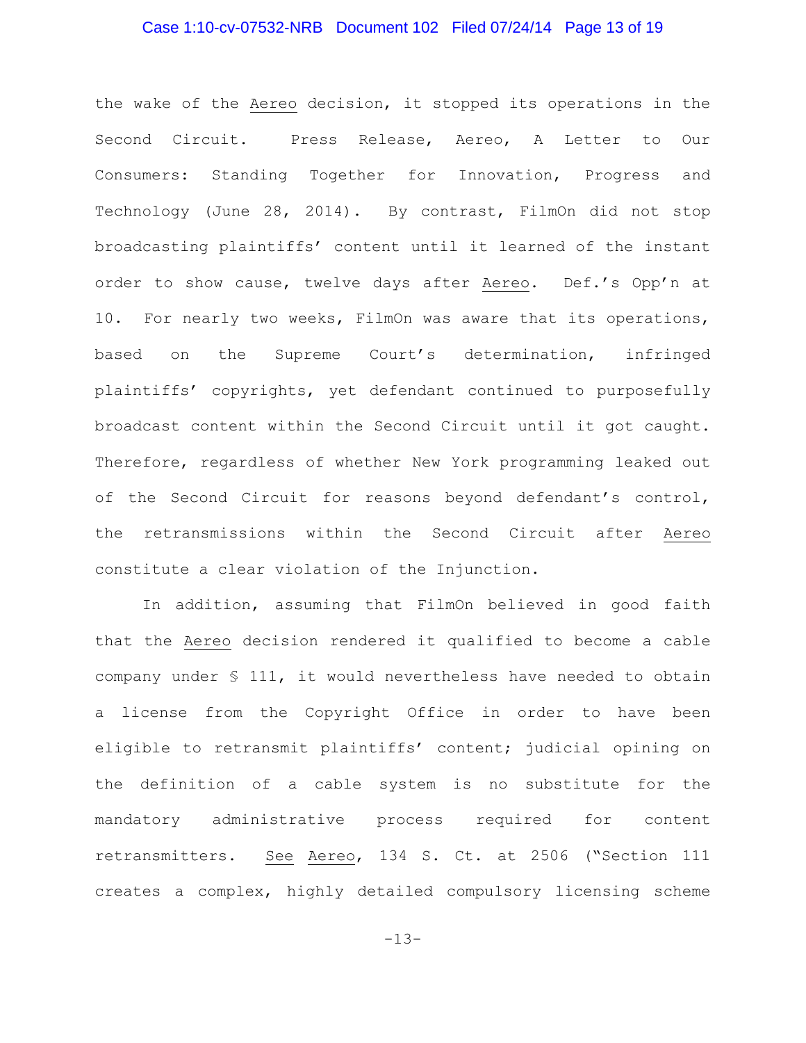#### Case 1:10-cv-07532-NRB Document 102 Filed 07/24/14 Page 13 of 19

the wake of the Aereo decision, it stopped its operations in the Second Circuit. Press Release, Aereo, A Letter to Our Consumers: Standing Together for Innovation, Progress and Technology (June 28, 2014). By contrast, FilmOn did not stop broadcasting plaintiffs' content until it learned of the instant order to show cause, twelve days after Aereo. Def.'s Opp'n at 10. For nearly two weeks, FilmOn was aware that its operations, based on the Supreme Court's determination, infringed plaintiffs' copyrights, yet defendant continued to purposefully broadcast content within the Second Circuit until it got caught. Therefore, regardless of whether New York programming leaked out of the Second Circuit for reasons beyond defendant's control, the retransmissions within the Second Circuit after Aereo constitute a clear violation of the Injunction.

In addition, assuming that FilmOn believed in good faith that the Aereo decision rendered it qualified to become a cable company under § 111, it would nevertheless have needed to obtain a license from the Copyright Office in order to have been eligible to retransmit plaintiffs' content; judicial opining on the definition of a cable system is no substitute for the mandatory administrative process required for content retransmitters. See Aereo, 134 S. Ct. at 2506 ("Section 111 creates a complex, highly detailed compulsory licensing scheme

 $-13-$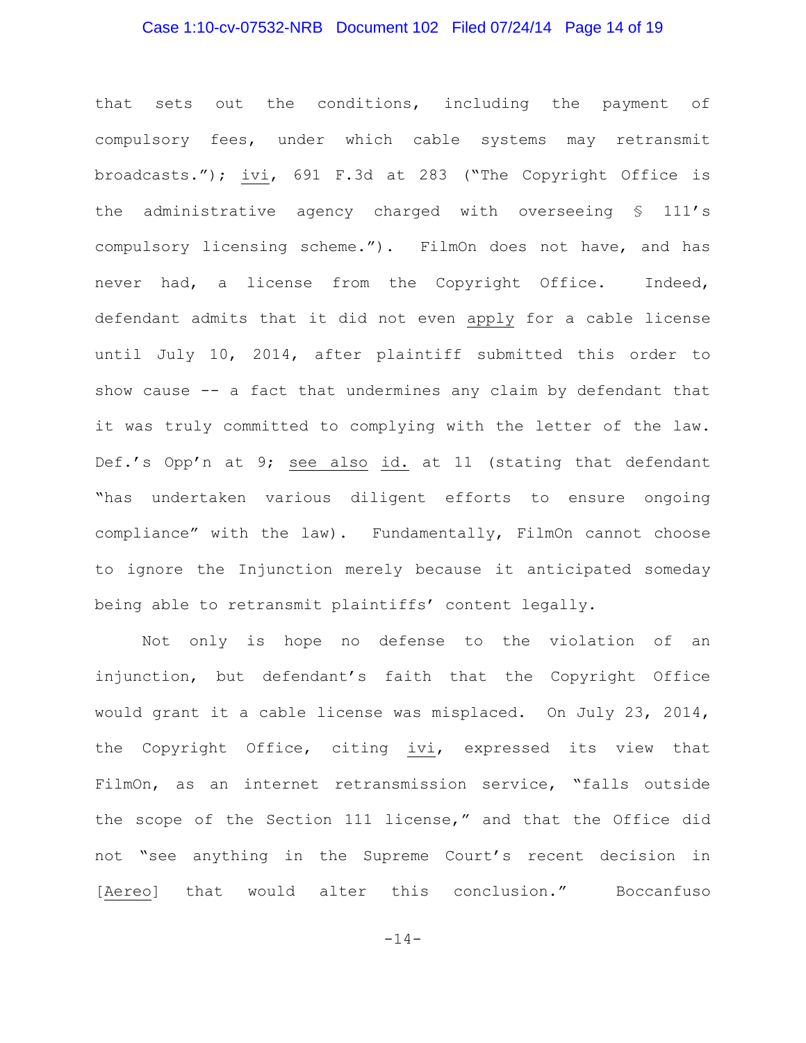#### Case 1:10-cv-07532-NRB Document 102 Filed 07/24/14 Page 14 of 19

that sets out the conditions, including the payment of compulsory fees, under which cable systems may retransmit broadcasts."); ivi, 691 F.3d at 283 ("The Copyright Office is the administrative agency charged with overseeing § 111's compulsory licensing scheme."). FilmOn does not have, and has never had, a license from the Copyright Office. Indeed, defendant admits that it did not even apply for a cable license until July 10, 2014, after plaintiff submitted this order to show cause -- a fact that undermines any claim by defendant that it was truly committed to complying with the letter of the law. Def.'s Opp'n at 9; see also id. at 11 (stating that defendant "has undertaken various diligent efforts to ensure ongoing compliance" with the law). Fundamentally, FilmOn cannot choose to ignore the Injunction merely because it anticipated someday being able to retransmit plaintiffs' content legally.

Not only is hope no defense to the violation of an injunction, but defendant's faith that the Copyright Office would grant it a cable license was misplaced. On July 23, 2014, the Copyright Office, citing ivi, expressed its view that FilmOn, as an internet retransmission service, "falls outside the scope of the Section 111 license," and that the Office did not "see anything in the Supreme Court's recent decision in [Aereo] that would alter this conclusion." Boccanfuso

-14-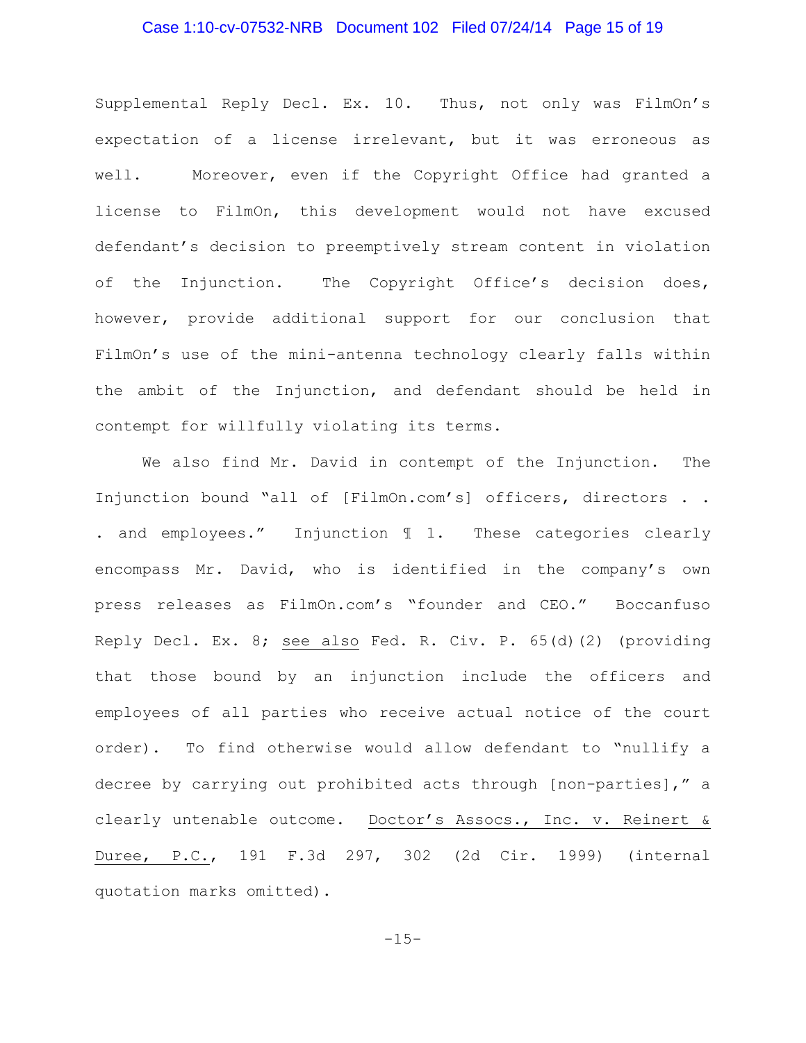#### Case 1:10-cv-07532-NRB Document 102 Filed 07/24/14 Page 15 of 19

Supplemental Reply Decl. Ex. 10. Thus, not only was FilmOn's expectation of a license irrelevant, but it was erroneous as well. Moreover, even if the Copyright Office had granted a license to FilmOn, this development would not have excused defendant's decision to preemptively stream content in violation of the Injunction. The Copyright Office's decision does, however, provide additional support for our conclusion that FilmOn's use of the mini-antenna technology clearly falls within the ambit of the Injunction, and defendant should be held in contempt for willfully violating its terms.

We also find Mr. David in contempt of the Injunction. The Injunction bound "all of [FilmOn.com's] officers, directors . . . and employees." Injunction ¶ 1. These categories clearly encompass Mr. David, who is identified in the company's own press releases as FilmOn.com's "founder and CEO." Boccanfuso Reply Decl. Ex. 8; see also Fed. R. Civ. P. 65(d)(2) (providing that those bound by an injunction include the officers and employees of all parties who receive actual notice of the court order). To find otherwise would allow defendant to "nullify a decree by carrying out prohibited acts through [non-parties]," a clearly untenable outcome. Doctor's Assocs., Inc. v. Reinert & Duree, P.C., 191 F.3d 297, 302 (2d Cir. 1999) (internal quotation marks omitted).

 $-15-$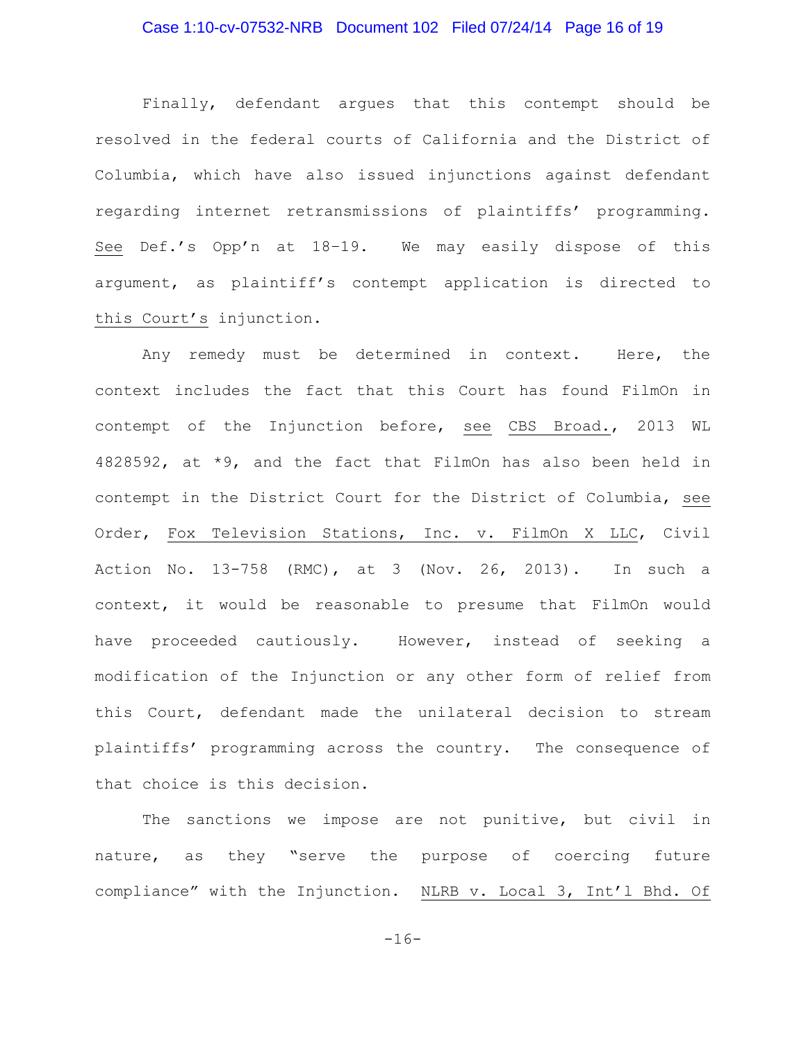#### Case 1:10-cv-07532-NRB Document 102 Filed 07/24/14 Page 16 of 19

Finally, defendant argues that this contempt should be resolved in the federal courts of California and the District of Columbia, which have also issued injunctions against defendant regarding internet retransmissions of plaintiffs' programming. See Def.'s Opp'n at 18–19. We may easily dispose of this argument, as plaintiff's contempt application is directed to this Court's injunction.

Any remedy must be determined in context. Here, the context includes the fact that this Court has found FilmOn in contempt of the Injunction before, see CBS Broad., 2013 WL 4828592, at \*9, and the fact that FilmOn has also been held in contempt in the District Court for the District of Columbia, see Order, Fox Television Stations, Inc. v. FilmOn X LLC, Civil Action No. 13-758 (RMC), at 3 (Nov. 26, 2013). In such a context, it would be reasonable to presume that FilmOn would have proceeded cautiously. However, instead of seeking a modification of the Injunction or any other form of relief from this Court, defendant made the unilateral decision to stream plaintiffs' programming across the country. The consequence of that choice is this decision.

The sanctions we impose are not punitive, but civil in nature, as they "serve the purpose of coercing future compliance" with the Injunction. NLRB v. Local 3, Int'l Bhd. Of

 $-16-$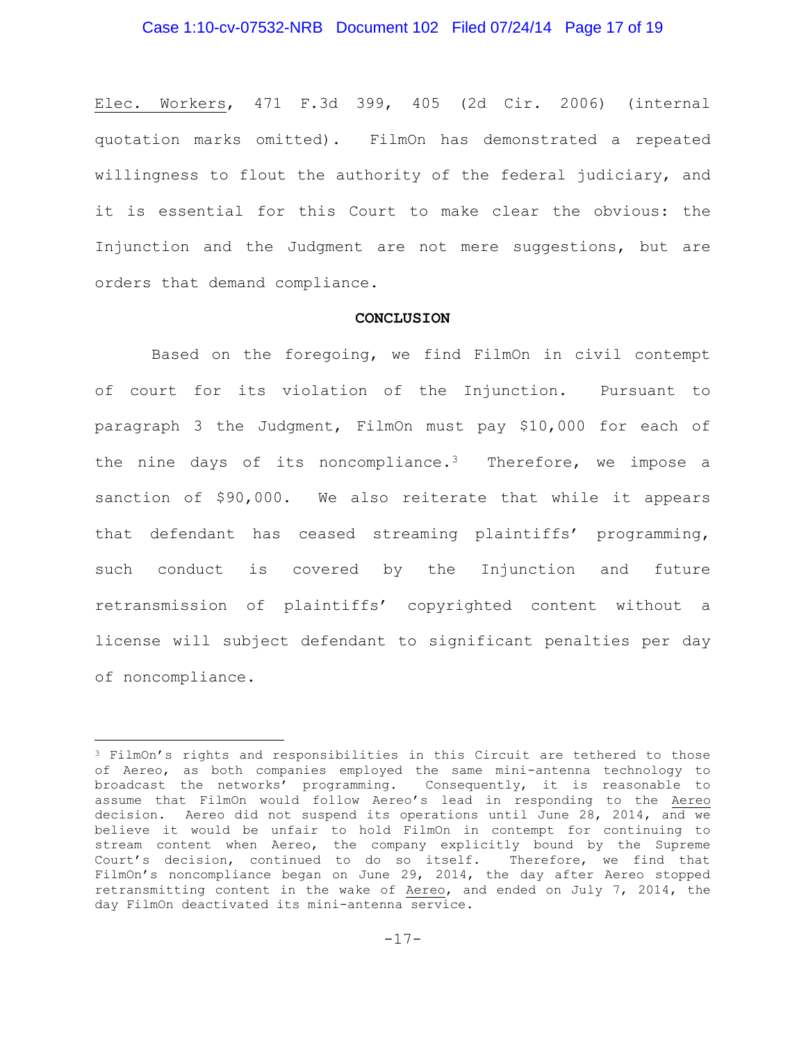#### Case 1:10-cv-07532-NRB Document 102 Filed 07/24/14 Page 17 of 19

Elec. Workers, 471 F.3d 399, 405 (2d Cir. 2006) (internal quotation marks omitted). FilmOn has demonstrated a repeated willingness to flout the authority of the federal judiciary, and it is essential for this Court to make clear the obvious: the Injunction and the Judgment are not mere suggestions, but are orders that demand compliance.

#### **CONCLUSION**

Based on the foregoing, we find FilmOn in civil contempt of court for its violation of the Injunction. Pursuant to paragraph 3 the Judgment, FilmOn must pay \$10,000 for each of the nine days of its noncompliance.<sup>3</sup> Therefore, we impose a sanction of \$90,000. We also reiterate that while it appears that defendant has ceased streaming plaintiffs' programming, such conduct is covered by the Injunction and future retransmission of plaintiffs' copyrighted content without a license will subject defendant to significant penalties per day of noncompliance.

 $\overline{a}$ 

<sup>3</sup> FilmOn's rights and responsibilities in this Circuit are tethered to those of Aereo, as both companies employed the same mini-antenna technology to broadcast the networks' programming. Consequently, it is reasonable to assume that FilmOn would follow Aereo's lead in responding to the Aereo decision. Aereo did not suspend its operations until June 28, 2014, and we believe it would be unfair to hold FilmOn in contempt for continuing to stream content when Aereo, the company explicitly bound by the Supreme Court's decision, continued to do so itself. Therefore, we find that FilmOn's noncompliance began on June 29, 2014, the day after Aereo stopped retransmitting content in the wake of Aereo, and ended on July 7, 2014, the day FilmOn deactivated its mini-antenna service.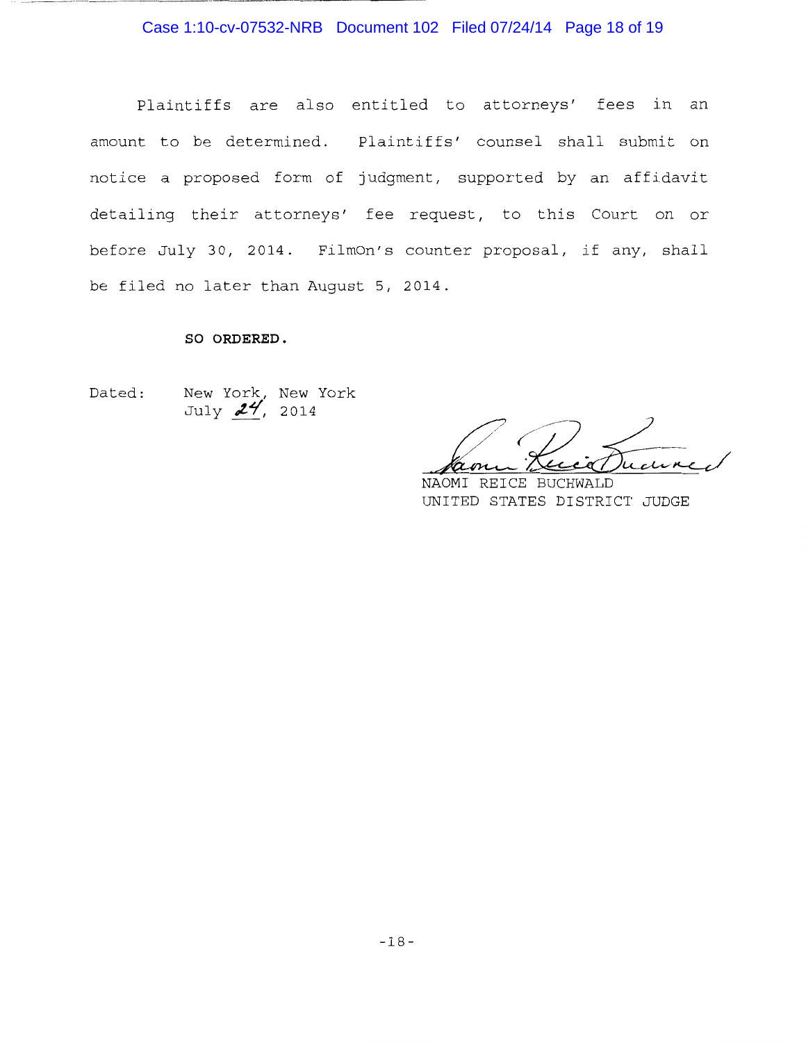#### Case 1:10-cv-07532-NRB Document 102 Filed 07/24/14 Page 18 of 19

Plaintiffs are also entitled to attorneys' fees in an amount to be determined. Plaintiffs' counsel shall submit on notice a proposed form of judgment, supported by an affidavit detailing their attorneys' fee request, to this Court on or before July 30, 2014. FilmOn's counter proposal, if any, shall be filed no later than August 5, 2014.

#### **SO ORDERED.**

Dated:

-~-------------------

New York, New York July **24**, 2014

Jame Kuiten / *(-* Hamm Luci Ducured

UNITED STATES DISTRICT JUDGE